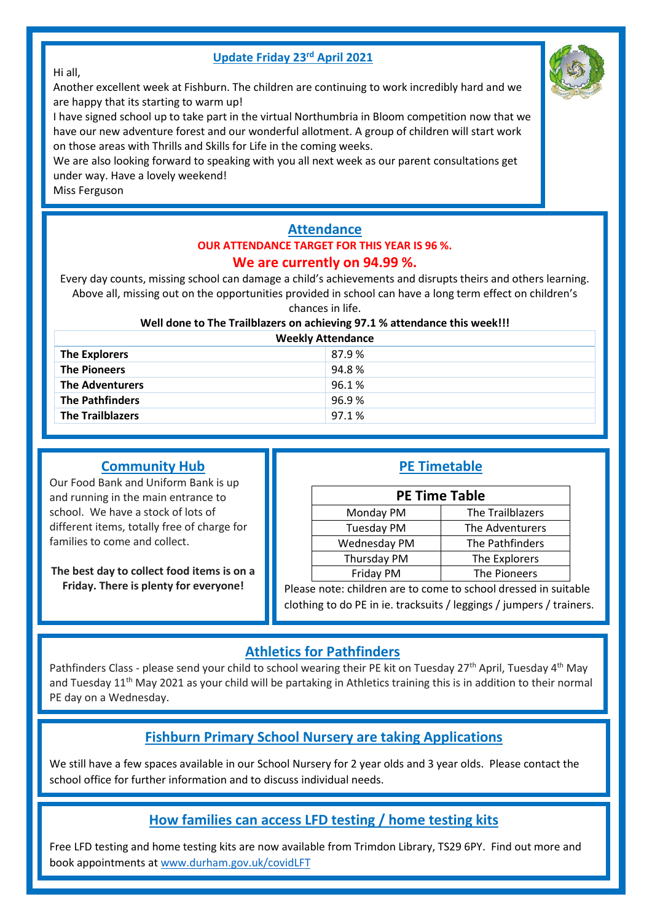#### **Update Friday 23rd April 2021**



#### Hi all,

Another excellent week at Fishburn. The children are continuing to work incredibly hard and we are happy that its starting to warm up!

I have signed school up to take part in the virtual Northumbria in Bloom competition now that we have our new adventure forest and our wonderful allotment. A group of children will start work on those areas with Thrills and Skills for Life in the coming weeks.

We are also looking forward to speaking with you all next week as our parent consultations get under way. Have a lovely weekend!

Miss Ferguson

# **Attendance OUR ATTENDANCE TARGET FOR THIS YEAR IS 96 %.**

#### **We are currently on 94.99 %.**

Every day counts, missing school can damage a child's achievements and disrupts theirs and others learning. Above all, missing out on the opportunities provided in school can have a long term effect on children's chances in life.

#### **Well done to The Trailblazers on achieving 97.1 % attendance this week!!!**

| <b>Weekly Attendance</b> |       |  |  |
|--------------------------|-------|--|--|
| <b>The Explorers</b>     | 87.9% |  |  |
| <b>The Pioneers</b>      | 94.8% |  |  |
| <b>The Adventurers</b>   | 96.1% |  |  |
| <b>The Pathfinders</b>   | 96.9% |  |  |
| <b>The Trailblazers</b>  | 97.1% |  |  |

#### **Community Hub**

Our Food Bank and Uniform Bank is up and running in the main entrance to school. We have a stock of lots of different items, totally free of charge for families to come and collect.

**The best day to collect food items is on a Friday. There is plenty for everyone!**

| <b>PE Timetable</b> |  |
|---------------------|--|
|                     |  |

| <b>PE Time Table</b> |                  |  |
|----------------------|------------------|--|
| Monday PM            | The Trailblazers |  |
| <b>Tuesday PM</b>    | The Adventurers  |  |
| Wednesday PM         | The Pathfinders  |  |
| Thursday PM          | The Explorers    |  |
| Friday PM            | The Pioneers     |  |

Please note: children are to come to school dressed in suitable clothing to do PE in ie. tracksuits / leggings / jumpers / trainers.

### **Athletics for Pathfinders**

Pathfinders Class - please send your child to school wearing their PE kit on Tuesday 27<sup>th</sup> April, Tuesday 4<sup>th</sup> May and Tuesday 11<sup>th</sup> May 2021 as your child will be partaking in Athletics training this is in addition to their normal PE day on a Wednesday.

### **Fishburn Primary School Nursery are taking Applications**

We still have a few spaces available in our School Nursery for 2 year olds and 3 year olds. Please contact the school office for further information and to discuss individual needs.

## **How families can access LFD testing / home testing kits**

Free LFD testing and home testing kits are now available from Trimdon Library, TS29 6PY. Find out more and book appointments a[t www.durham.gov.uk/covidLFT](http://www.durham.gov.uk/covidLFT)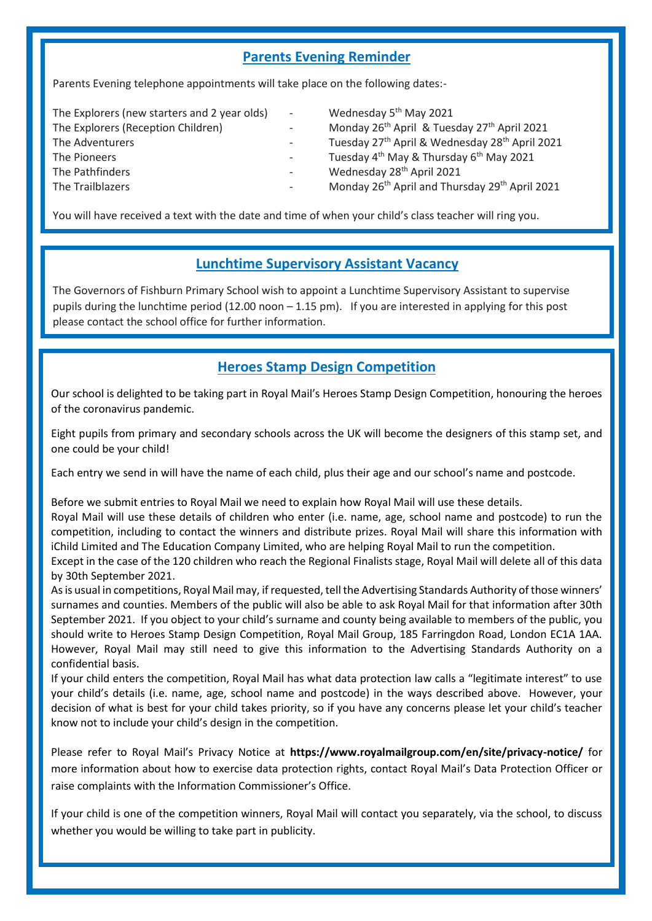### **Parents Evening Reminder**

Parents Evening telephone appointments will take place on the following dates:-

| The Explorers (new starters and 2 year olds) | $\sim$ 100 $\mu$ | Wednesday 5 <sup>th</sup> May 2021                                     |
|----------------------------------------------|------------------|------------------------------------------------------------------------|
| The Explorers (Reception Children)           |                  | Monday 26 <sup>th</sup> April & Tuesday 27 <sup>th</sup> April 2021    |
| The Adventurers                              |                  | Tuesday 27 <sup>th</sup> April & Wednesday 28 <sup>th</sup> April 2021 |
| The Pioneers                                 |                  | Tuesday 4 <sup>th</sup> May & Thursday 6 <sup>th</sup> May 2021        |
| The Pathfinders                              |                  | Wednesday 28 <sup>th</sup> April 2021                                  |
| The Trailblazers                             |                  | Monday 26 <sup>th</sup> April and Thursday 29 <sup>th</sup> April 2021 |

You will have received a text with the date and time of when your child's class teacher will ring you.

#### **Lunchtime Supervisory Assistant Vacancy**

The Governors of Fishburn Primary School wish to appoint a Lunchtime Supervisory Assistant to supervise pupils during the lunchtime period (12.00 noon  $-1.15$  pm). If you are interested in applying for this post please contact the school office for further information.

## **Heroes Stamp Design Competition**

Our school is delighted to be taking part in Royal Mail's Heroes Stamp Design Competition, honouring the heroes of the coronavirus pandemic.

Eight pupils from primary and secondary schools across the UK will become the designers of this stamp set, and one could be your child!

Each entry we send in will have the name of each child, plus their age and our school's name and postcode.

Before we submit entries to Royal Mail we need to explain how Royal Mail will use these details.

Royal Mail will use these details of children who enter (i.e. name, age, school name and postcode) to run the competition, including to contact the winners and distribute prizes. Royal Mail will share this information with iChild Limited and The Education Company Limited, who are helping Royal Mail to run the competition.

Except in the case of the 120 children who reach the Regional Finalists stage, Royal Mail will delete all of this data by 30th September 2021.

As is usual in competitions, Royal Mail may, if requested, tell the Advertising Standards Authority of those winners' surnames and counties. Members of the public will also be able to ask Royal Mail for that information after 30th September 2021. If you object to your child's surname and county being available to members of the public, you should write to Heroes Stamp Design Competition, Royal Mail Group, 185 Farringdon Road, London EC1A 1AA. However, Royal Mail may still need to give this information to the Advertising Standards Authority on a confidential basis.

If your child enters the competition, Royal Mail has what data protection law calls a "legitimate interest" to use your child's details (i.e. name, age, school name and postcode) in the ways described above. However, your decision of what is best for your child takes priority, so if you have any concerns please let your child's teacher know not to include your child's design in the competition.

Please refer to Royal Mail's Privacy Notice at **<https://www.royalmailgroup.com/en/site/privacy-notice/>** for more information about how to exercise data protection rights, contact Royal Mail's Data Protection Officer or raise complaints with the Information Commissioner's Office.

If your child is one of the competition winners, Royal Mail will contact you separately, via the school, to discuss whether you would be willing to take part in publicity.